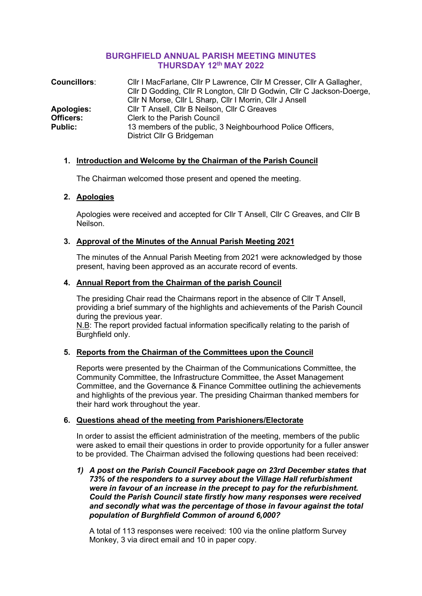# **BURGHFIELD ANNUAL PARISH MEETING MINUTES THURSDAY 12th MAY 2022**

| <b>Councillors:</b> | Cllr I MacFarlane, Cllr P Lawrence, Cllr M Cresser, Cllr A Gallagher,<br>CIIr D Godding, CIIr R Longton, CIIr D Godwin, CIIr C Jackson-Doerge, |
|---------------------|------------------------------------------------------------------------------------------------------------------------------------------------|
|                     | CIIr N Morse, CIIr L Sharp, CIIr I Morrin, CIIr J Ansell                                                                                       |
| <b>Apologies:</b>   | CIIr T Ansell, CIIr B Neilson, CIIr C Greaves                                                                                                  |
| <b>Officers:</b>    | <b>Clerk to the Parish Council</b>                                                                                                             |
| <b>Public:</b>      | 13 members of the public, 3 Neighbourhood Police Officers,<br>District Cllr G Bridgeman                                                        |

# **1. Introduction and Welcome by the Chairman of the Parish Council**

The Chairman welcomed those present and opened the meeting.

# **2. Apologies**

Apologies were received and accepted for Cllr T Ansell, Cllr C Greaves, and Cllr B Neilson.

# **3. Approval of the Minutes of the Annual Parish Meeting 2021**

The minutes of the Annual Parish Meeting from 2021 were acknowledged by those present, having been approved as an accurate record of events.

# **4. Annual Report from the Chairman of the parish Council**

The presiding Chair read the Chairmans report in the absence of Cllr T Ansell, providing a brief summary of the highlights and achievements of the Parish Council during the previous year.

N.B: The report provided factual information specifically relating to the parish of Burghfield only.

# **5. Reports from the Chairman of the Committees upon the Council**

Reports were presented by the Chairman of the Communications Committee, the Community Committee, the Infrastructure Committee, the Asset Management Committee, and the Governance & Finance Committee outlining the achievements and highlights of the previous year. The presiding Chairman thanked members for their hard work throughout the year.

# **6. Questions ahead of the meeting from Parishioners/Electorate**

In order to assist the efficient administration of the meeting, members of the public were asked to email their questions in order to provide opportunity for a fuller answer to be provided. The Chairman advised the following questions had been received:

*1) A post on the Parish Council Facebook page on 23rd December states that 73% of the responders to a survey about the Village Hall refurbishment were in favour of an increase in the precept to pay for the refurbishment. Could the Parish Council state firstly how many responses were received and secondly what was the percentage of those in favour against the total population of Burghfield Common of around 6,000?*

A total of 113 responses were received: 100 via the online platform Survey Monkey, 3 via direct email and 10 in paper copy.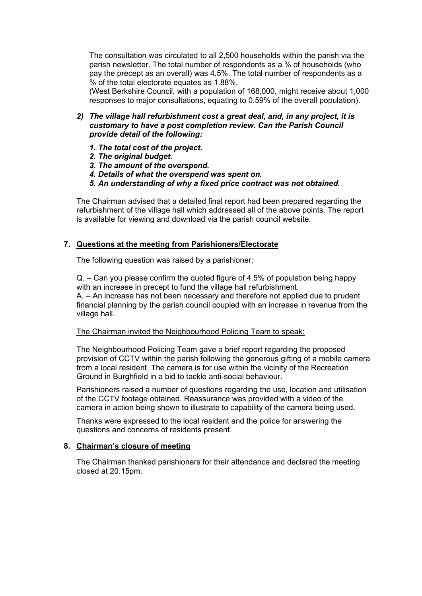The consultation was circulated to all 2,500 households within the parish via the parish newsletter. The total number of respondents as a % of households (who pay the precept as an overall) was 4.5%. The total number of respondents as a % of the total electorate equates as 1.88%.

(West Berkshire Council, with a population of 168,000, might receive about 1,000 responses to major consultations, equating to 0.59% of the overall population).

- *2) The village hall refurbishment cost a great deal, and, in any project, it is customary to have a post completion review. Can the Parish Council provide detail of the following:*
	- *1. The total cost of the project.*
	- *2. The original budget.*
	- *3. The amount of the overspend.*
	- *4. Details of what the overspend was spent on.*
	- *5. An understanding of why a fixed price contract was not obtained.*

The Chairman advised that a detailed final report had been prepared regarding the refurbishment of the village hall which addressed all of the above points. The report is available for viewing and download via the parish council website.

### **7. Questions at the meeting from Parishioners/Electorate**

The following question was raised by a parishioner:

Q. – Can you please confirm the quoted figure of 4.5% of population being happy with an increase in precept to fund the village hall refurbishment. A. – An increase has not been necessary and therefore not applied due to prudent financial planning by the parish council coupled with an increase in revenue from the village hall.

#### The Chairman invited the Neighbourhood Policing Team to speak:

The Neighbourhood Policing Team gave a brief report regarding the proposed provision of CCTV within the parish following the generous gifting of a mobile camera from a local resident. The camera is for use within the vicinity of the Recreation Ground in Burghfield in a bid to tackle anti-social behaviour.

Parishioners raised a number of questions regarding the use, location and utilisation of the CCTV footage obtained. Reassurance was provided with a video of the camera in action being shown to illustrate to capability of the camera being used.

Thanks were expressed to the local resident and the police for answering the questions and concerns of residents present.

#### **8. Chairman's closure of meeting**

The Chairman thanked parishioners for their attendance and declared the meeting closed at 20.15pm.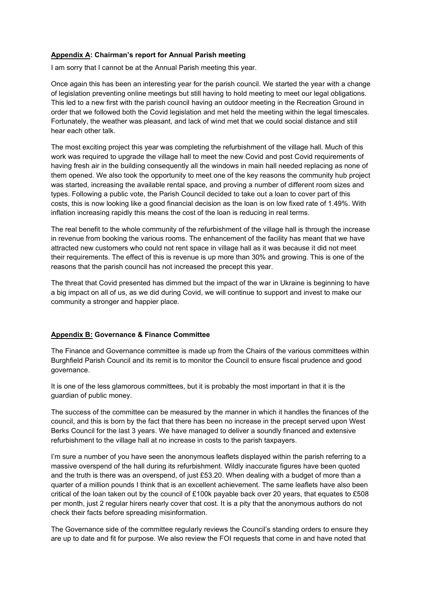### **Appendix A: Chairman's report for Annual Parish meeting**

I am sorry that I cannot be at the Annual Parish meeting this year.

Once again this has been an interesting year for the parish council. We started the year with a change of legislation preventing online meetings but still having to hold meeting to meet our legal obligations. This led to a new first with the parish council having an outdoor meeting in the Recreation Ground in order that we followed both the Covid legislation and met held the meeting within the legal timescales. Fortunately, the weather was pleasant, and lack of wind met that we could social distance and still hear each other talk.

The most exciting project this year was completing the refurbishment of the village hall. Much of this work was required to upgrade the village hall to meet the new Covid and post Covid requirements of having fresh air in the building consequently all the windows in main hall needed replacing as none of them opened. We also took the opportunity to meet one of the key reasons the community hub project was started, increasing the available rental space, and proving a number of different room sizes and types. Following a public vote, the Parish Council decided to take out a loan to cover part of this costs, this is now looking like a good financial decision as the loan is on low fixed rate of 1.49%. With inflation increasing rapidly this means the cost of the loan is reducing in real terms.

The real benefit to the whole community of the refurbishment of the village hall is through the increase in revenue from booking the various rooms. The enhancement of the facility has meant that we have attracted new customers who could not rent space in village hall as it was because it did not meet their requirements. The effect of this is revenue is up more than 30% and growing. This is one of the reasons that the parish council has not increased the precept this year.

The threat that Covid presented has dimmed but the impact of the war in Ukraine is beginning to have a big impact on all of us, as we did during Covid, we will continue to support and invest to make our community a stronger and happier place.

#### **Appendix B: Governance & Finance Committee**

The Finance and Governance committee is made up from the Chairs of the various committees within Burghfield Parish Council and its remit is to monitor the Council to ensure fiscal prudence and good governance.

It is one of the less glamorous committees, but it is probably the most important in that it is the guardian of public money.

The success of the committee can be measured by the manner in which it handles the finances of the council, and this is born by the fact that there has been no increase in the precept served upon West Berks Council for the last 3 years. We have managed to deliver a soundly financed and extensive refurbishment to the village hall at no increase in costs to the parish taxpayers.

I'm sure a number of you have seen the anonymous leaflets displayed within the parish referring to a massive overspend of the hall during its refurbishment. Wildly inaccurate figures have been quoted and the truth is there was an overspend, of just £53.20. When dealing with a budget of more than a quarter of a million pounds I think that is an excellent achievement. The same leaflets have also been critical of the loan taken out by the council of £100k payable back over 20 years, that equates to £508 per month, just 2 regular hirers nearly cover that cost. It is a pity that the anonymous authors do not check their facts before spreading misinformation.

The Governance side of the committee regularly reviews the Council's standing orders to ensure they are up to date and fit for purpose. We also review the FOI requests that come in and have noted that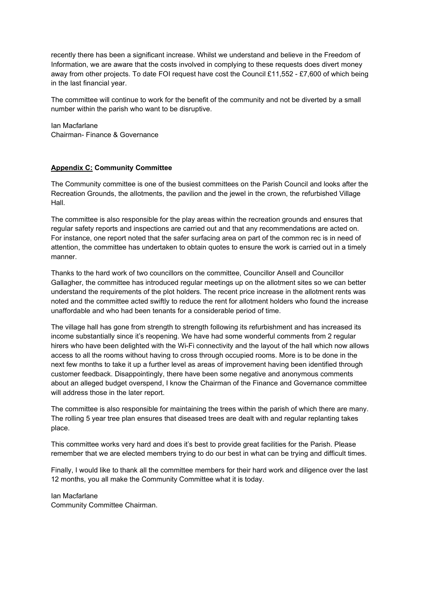recently there has been a significant increase. Whilst we understand and believe in the Freedom of Information, we are aware that the costs involved in complying to these requests does divert money away from other projects. To date FOI request have cost the Council £11,552 - £7,600 of which being in the last financial year.

The committee will continue to work for the benefit of the community and not be diverted by a small number within the parish who want to be disruptive.

Ian Macfarlane Chairman- Finance & Governance

### **Appendix C: Community Committee**

The Community committee is one of the busiest committees on the Parish Council and looks after the Recreation Grounds, the allotments, the pavilion and the jewel in the crown, the refurbished Village Hall.

The committee is also responsible for the play areas within the recreation grounds and ensures that regular safety reports and inspections are carried out and that any recommendations are acted on. For instance, one report noted that the safer surfacing area on part of the common rec is in need of attention, the committee has undertaken to obtain quotes to ensure the work is carried out in a timely manner.

Thanks to the hard work of two councillors on the committee, Councillor Ansell and Councillor Gallagher, the committee has introduced regular meetings up on the allotment sites so we can better understand the requirements of the plot holders. The recent price increase in the allotment rents was noted and the committee acted swiftly to reduce the rent for allotment holders who found the increase unaffordable and who had been tenants for a considerable period of time.

The village hall has gone from strength to strength following its refurbishment and has increased its income substantially since it's reopening. We have had some wonderful comments from 2 regular hirers who have been delighted with the Wi-Fi connectivity and the layout of the hall which now allows access to all the rooms without having to cross through occupied rooms. More is to be done in the next few months to take it up a further level as areas of improvement having been identified through customer feedback. Disappointingly, there have been some negative and anonymous comments about an alleged budget overspend, I know the Chairman of the Finance and Governance committee will address those in the later report.

The committee is also responsible for maintaining the trees within the parish of which there are many. The rolling 5 year tree plan ensures that diseased trees are dealt with and regular replanting takes place.

This committee works very hard and does it's best to provide great facilities for the Parish. Please remember that we are elected members trying to do our best in what can be trying and difficult times.

Finally, I would like to thank all the committee members for their hard work and diligence over the last 12 months, you all make the Community Committee what it is today.

Ian Macfarlane Community Committee Chairman.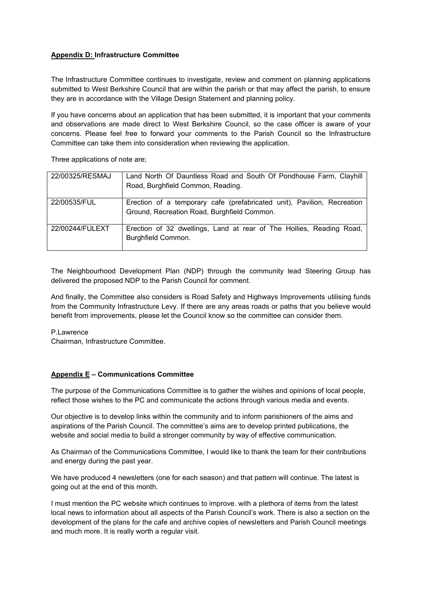#### **Appendix D: Infrastructure Committee**

The Infrastructure Committee continues to investigate, review and comment on planning applications submitted to West Berkshire Council that are within the parish or that may affect the parish, to ensure they are in accordance with the Village Design Statement and planning policy.

If you have concerns about an application that has been submitted, it is important that your comments and observations are made direct to West Berkshire Council, so the case officer is aware of your concerns. Please feel free to forward your comments to the Parish Council so the Infrastructure Committee can take them into consideration when reviewing the application.

Three applications of note are;

| 22/00325/RESMAJ | Land North Of Dauntless Road and South Of Pondhouse Farm, Clayhill      |
|-----------------|-------------------------------------------------------------------------|
|                 | Road, Burghfield Common, Reading.                                       |
| 22/00535/FUL    | Erection of a temporary cafe (prefabricated unit), Pavilion, Recreation |
|                 |                                                                         |
|                 | Ground, Recreation Road, Burghfield Common.                             |
|                 |                                                                         |
| 22/00244/FULEXT | Erection of 32 dwellings, Land at rear of The Hollies, Reading Road,    |
|                 | Burghfield Common.                                                      |
|                 |                                                                         |

The Neighbourhood Development Plan (NDP) through the community lead Steering Group has delivered the proposed NDP to the Parish Council for comment.

And finally, the Committee also considers is Road Safety and Highways Improvements utilising funds from the Community Infrastructure Levy. If there are any areas roads or paths that you believe would benefit from improvements, please let the Council know so the committee can consider them.

P.Lawrence Chairman, Infrastructure Committee.

#### **Appendix E – Communications Committee**

The purpose of the Communications Committee is to gather the wishes and opinions of local people, reflect those wishes to the PC and communicate the actions through various media and events.

Our objective is to develop links within the community and to inform parishioners of the aims and aspirations of the Parish Council. The committee's aims are to develop printed publications, the website and social media to build a stronger community by way of effective communication.

As Chairman of the Communications Committee, I would like to thank the team for their contributions and energy during the past year.

We have produced 4 newsletters (one for each season) and that pattern will continue. The latest is going out at the end of this month.

I must mention the PC website which continues to improve. with a plethora of items from the latest local news to information about all aspects of the Parish Council's work. There is also a section on the development of the plans for the cafe and archive copies of newsletters and Parish Council meetings and much more. It is really worth a regular visit.